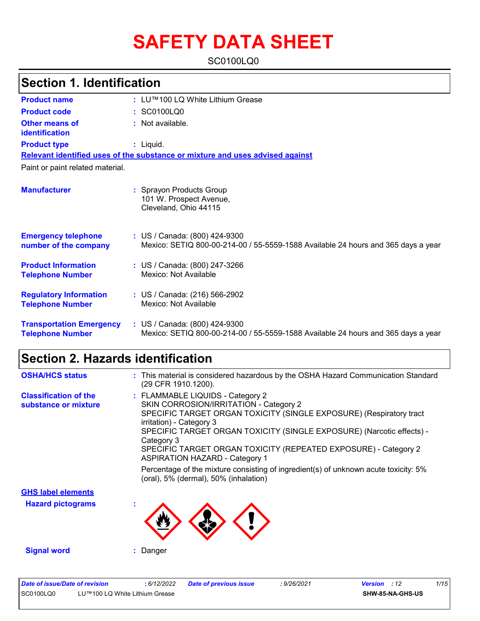# **SAFETY DATA SHEET**

SC0100LQ0

| <b>Section 1. Identification</b>                           |                                                                                                                    |  |  |
|------------------------------------------------------------|--------------------------------------------------------------------------------------------------------------------|--|--|
| <b>Product name</b>                                        | : LU™100 LQ White Lithium Grease                                                                                   |  |  |
| <b>Product code</b>                                        | : SC0100LQ0                                                                                                        |  |  |
| <b>Other means of</b><br>identification                    | : Not available.                                                                                                   |  |  |
| <b>Product type</b>                                        | $:$ Liquid.                                                                                                        |  |  |
|                                                            | Relevant identified uses of the substance or mixture and uses advised against                                      |  |  |
| Paint or paint related material.                           |                                                                                                                    |  |  |
| <b>Manufacturer</b>                                        | : Sprayon Products Group<br>101 W. Prospect Avenue,<br>Cleveland, Ohio 44115                                       |  |  |
| <b>Emergency telephone</b><br>number of the company        | : US / Canada: (800) 424-9300<br>Mexico: SETIQ 800-00-214-00 / 55-5559-1588 Available 24 hours and 365 days a year |  |  |
| <b>Product Information</b><br><b>Telephone Number</b>      | : US / Canada: (800) 247-3266<br>Mexico: Not Available                                                             |  |  |
| <b>Regulatory Information</b><br><b>Telephone Number</b>   | : US / Canada: (216) 566-2902<br>Mexico: Not Available                                                             |  |  |
| <b>Transportation Emergency</b><br><b>Telephone Number</b> | : US / Canada: (800) 424-9300<br>Mexico: SETIQ 800-00-214-00 / 55-5559-1588 Available 24 hours and 365 days a year |  |  |

## **Section 2. Hazards identification**

| <b>OSHA/HCS status</b>                               | : This material is considered hazardous by the OSHA Hazard Communication Standard<br>(29 CFR 1910.1200).                                                                                                                                                                                                                                                                         |
|------------------------------------------------------|----------------------------------------------------------------------------------------------------------------------------------------------------------------------------------------------------------------------------------------------------------------------------------------------------------------------------------------------------------------------------------|
| <b>Classification of the</b><br>substance or mixture | : FLAMMABLE LIQUIDS - Category 2<br>SKIN CORROSION/IRRITATION - Category 2<br>SPECIFIC TARGET ORGAN TOXICITY (SINGLE EXPOSURE) (Respiratory tract<br>irritation) - Category 3<br>SPECIFIC TARGET ORGAN TOXICITY (SINGLE EXPOSURE) (Narcotic effects) -<br>Category 3<br>SPECIFIC TARGET ORGAN TOXICITY (REPEATED EXPOSURE) - Category 2<br><b>ASPIRATION HAZARD - Category 1</b> |
|                                                      | Percentage of the mixture consisting of ingredient(s) of unknown acute toxicity: 5%<br>(oral), 5% (dermal), 50% (inhalation)                                                                                                                                                                                                                                                     |
| <b>GHS label elements</b>                            |                                                                                                                                                                                                                                                                                                                                                                                  |
| <b>Hazard pictograms</b>                             |                                                                                                                                                                                                                                                                                                                                                                                  |
| <b>Signal word</b>                                   | : Danger                                                                                                                                                                                                                                                                                                                                                                         |

| Date of issue/Date of revision |                                | 6/12/2022 | Date of previous issue | : 9/26/2021 | <b>Version</b> : 12 | 1/15 |
|--------------------------------|--------------------------------|-----------|------------------------|-------------|---------------------|------|
| SC0100LQ0                      | LU™100 LQ White Lithium Grease |           |                        |             | SHW-85-NA-GHS-US    |      |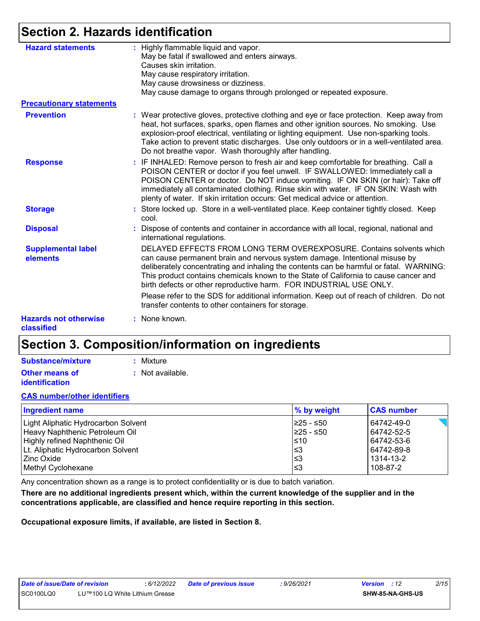### **Section 2. Hazards identification**

| <b>Hazard statements</b>                   | : Highly flammable liquid and vapor.<br>May be fatal if swallowed and enters airways.<br>Causes skin irritation.<br>May cause respiratory irritation.<br>May cause drowsiness or dizziness.<br>May cause damage to organs through prolonged or repeated exposure.                                                                                                                                                               |
|--------------------------------------------|---------------------------------------------------------------------------------------------------------------------------------------------------------------------------------------------------------------------------------------------------------------------------------------------------------------------------------------------------------------------------------------------------------------------------------|
| <b>Precautionary statements</b>            |                                                                                                                                                                                                                                                                                                                                                                                                                                 |
| <b>Prevention</b>                          | : Wear protective gloves, protective clothing and eye or face protection. Keep away from<br>heat, hot surfaces, sparks, open flames and other ignition sources. No smoking. Use<br>explosion-proof electrical, ventilating or lighting equipment. Use non-sparking tools.<br>Take action to prevent static discharges. Use only outdoors or in a well-ventilated area.<br>Do not breathe vapor. Wash thoroughly after handling. |
| <b>Response</b>                            | : IF INHALED: Remove person to fresh air and keep comfortable for breathing. Call a<br>POISON CENTER or doctor if you feel unwell. IF SWALLOWED: Immediately call a<br>POISON CENTER or doctor. Do NOT induce vomiting. IF ON SKIN (or hair): Take off<br>immediately all contaminated clothing. Rinse skin with water. IF ON SKIN: Wash with<br>plenty of water. If skin irritation occurs: Get medical advice or attention.   |
| <b>Storage</b>                             | : Store locked up. Store in a well-ventilated place. Keep container tightly closed. Keep<br>cool.                                                                                                                                                                                                                                                                                                                               |
| <b>Disposal</b>                            | : Dispose of contents and container in accordance with all local, regional, national and<br>international regulations.                                                                                                                                                                                                                                                                                                          |
| <b>Supplemental label</b><br>elements      | DELAYED EFFECTS FROM LONG TERM OVEREXPOSURE. Contains solvents which<br>can cause permanent brain and nervous system damage. Intentional misuse by<br>deliberately concentrating and inhaling the contents can be harmful or fatal. WARNING:<br>This product contains chemicals known to the State of California to cause cancer and<br>birth defects or other reproductive harm. FOR INDUSTRIAL USE ONLY.                      |
|                                            | Please refer to the SDS for additional information. Keep out of reach of children. Do not<br>transfer contents to other containers for storage.                                                                                                                                                                                                                                                                                 |
| <b>Hazards not otherwise</b><br>classified | : None known.                                                                                                                                                                                                                                                                                                                                                                                                                   |

### **Section 3. Composition/information on ingredients**

| <b>Substance/mixture</b> | : Mixture        |
|--------------------------|------------------|
| Other means of           | : Not available. |
| identification           |                  |

#### **CAS number/other identifiers**

| <b>Ingredient name</b>              | % by weight | <b>CAS number</b> |
|-------------------------------------|-------------|-------------------|
| Light Aliphatic Hydrocarbon Solvent | I≥25 - ≤50  | 64742-49-0        |
| Heavy Naphthenic Petroleum Oil      | 1≥25 - ≤50  | 64742-52-5        |
| Highly refined Naphthenic Oil       | $\leq 10$   | 64742-53-6        |
| Lt. Aliphatic Hydrocarbon Solvent   | l≤3         | 64742-89-8        |
| l Zinc Oxide I                      | l≤3         | 1314-13-2         |
| Methyl Cyclohexane                  | l≤3         | 108-87-2          |

Any concentration shown as a range is to protect confidentiality or is due to batch variation.

**There are no additional ingredients present which, within the current knowledge of the supplier and in the concentrations applicable, are classified and hence require reporting in this section.**

**Occupational exposure limits, if available, are listed in Section 8.**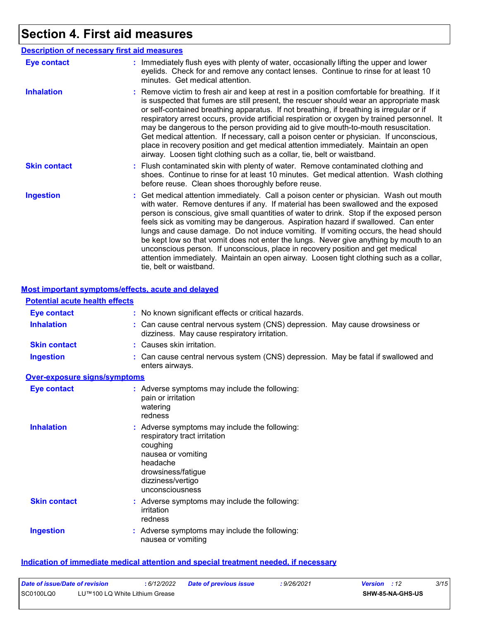# **Section 4. First aid measures**

| <b>Description of necessary first aid measures</b> |                                                                                                                                                                                                                                                                                                                                                                                                                                                                                                                                                                                                                                                                                                                                                         |
|----------------------------------------------------|---------------------------------------------------------------------------------------------------------------------------------------------------------------------------------------------------------------------------------------------------------------------------------------------------------------------------------------------------------------------------------------------------------------------------------------------------------------------------------------------------------------------------------------------------------------------------------------------------------------------------------------------------------------------------------------------------------------------------------------------------------|
| <b>Eye contact</b>                                 | : Immediately flush eyes with plenty of water, occasionally lifting the upper and lower<br>eyelids. Check for and remove any contact lenses. Continue to rinse for at least 10<br>minutes. Get medical attention.                                                                                                                                                                                                                                                                                                                                                                                                                                                                                                                                       |
| <b>Inhalation</b>                                  | : Remove victim to fresh air and keep at rest in a position comfortable for breathing. If it<br>is suspected that fumes are still present, the rescuer should wear an appropriate mask<br>or self-contained breathing apparatus. If not breathing, if breathing is irregular or if<br>respiratory arrest occurs, provide artificial respiration or oxygen by trained personnel. It<br>may be dangerous to the person providing aid to give mouth-to-mouth resuscitation.<br>Get medical attention. If necessary, call a poison center or physician. If unconscious,<br>place in recovery position and get medical attention immediately. Maintain an open<br>airway. Loosen tight clothing such as a collar, tie, belt or waistband.                    |
| <b>Skin contact</b>                                | : Flush contaminated skin with plenty of water. Remove contaminated clothing and<br>shoes. Continue to rinse for at least 10 minutes. Get medical attention. Wash clothing<br>before reuse. Clean shoes thoroughly before reuse.                                                                                                                                                                                                                                                                                                                                                                                                                                                                                                                        |
| <b>Ingestion</b>                                   | : Get medical attention immediately. Call a poison center or physician. Wash out mouth<br>with water. Remove dentures if any. If material has been swallowed and the exposed<br>person is conscious, give small quantities of water to drink. Stop if the exposed person<br>feels sick as vomiting may be dangerous. Aspiration hazard if swallowed. Can enter<br>lungs and cause damage. Do not induce vomiting. If vomiting occurs, the head should<br>be kept low so that vomit does not enter the lungs. Never give anything by mouth to an<br>unconscious person. If unconscious, place in recovery position and get medical<br>attention immediately. Maintain an open airway. Loosen tight clothing such as a collar,<br>tie, belt or waistband. |

#### **Most important symptoms/effects, acute and delayed**

| <b>Potential acute health effects</b> |                                                                                                                                                                                           |
|---------------------------------------|-------------------------------------------------------------------------------------------------------------------------------------------------------------------------------------------|
| <b>Eye contact</b>                    | : No known significant effects or critical hazards.                                                                                                                                       |
| <b>Inhalation</b>                     | : Can cause central nervous system (CNS) depression. May cause drowsiness or<br>dizziness. May cause respiratory irritation.                                                              |
| <b>Skin contact</b>                   | : Causes skin irritation.                                                                                                                                                                 |
| <b>Ingestion</b>                      | : Can cause central nervous system (CNS) depression. May be fatal if swallowed and<br>enters airways.                                                                                     |
| <b>Over-exposure signs/symptoms</b>   |                                                                                                                                                                                           |
| <b>Eye contact</b>                    | : Adverse symptoms may include the following:<br>pain or irritation<br>watering<br>redness                                                                                                |
| <b>Inhalation</b>                     | : Adverse symptoms may include the following:<br>respiratory tract irritation<br>coughing<br>nausea or vomiting<br>headache<br>drowsiness/fatigue<br>dizziness/vertigo<br>unconsciousness |
| <b>Skin contact</b>                   | : Adverse symptoms may include the following:<br>irritation<br>redness                                                                                                                    |
| <b>Ingestion</b>                      | : Adverse symptoms may include the following:<br>nausea or vomiting                                                                                                                       |

#### **Indication of immediate medical attention and special treatment needed, if necessary**

| Date of issue/Date of revision | 6/12/2022                      | <b>Date of previous issue</b> | 9/26/2021 | <b>Version</b> : 12 | 3/15 |
|--------------------------------|--------------------------------|-------------------------------|-----------|---------------------|------|
| SC0100LQ0                      | LU™100 LQ White Lithium Grease |                               |           | SHW-85-NA-GHS-US    |      |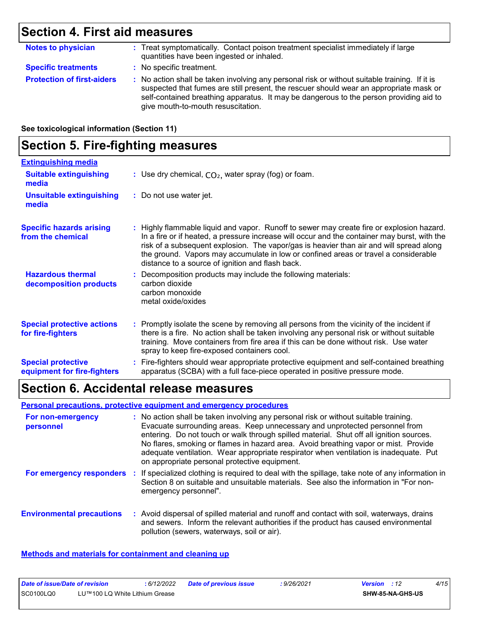### **Section 4. First aid measures**

| <b>Notes to physician</b>         | : Treat symptomatically. Contact poison treatment specialist immediately if large<br>quantities have been ingested or inhaled.                                                                                                                                                                                          |
|-----------------------------------|-------------------------------------------------------------------------------------------------------------------------------------------------------------------------------------------------------------------------------------------------------------------------------------------------------------------------|
| <b>Specific treatments</b>        | : No specific treatment.                                                                                                                                                                                                                                                                                                |
| <b>Protection of first-aiders</b> | : No action shall be taken involving any personal risk or without suitable training. If it is<br>suspected that fumes are still present, the rescuer should wear an appropriate mask or<br>self-contained breathing apparatus. It may be dangerous to the person providing aid to<br>give mouth-to-mouth resuscitation. |

**See toxicological information (Section 11)**

### **Section 5. Fire-fighting measures**

| <b>Extinguishing media</b>                               |                                                                                                                                                                                                                                                                                                                                                                                                                                 |
|----------------------------------------------------------|---------------------------------------------------------------------------------------------------------------------------------------------------------------------------------------------------------------------------------------------------------------------------------------------------------------------------------------------------------------------------------------------------------------------------------|
| <b>Suitable extinguishing</b><br>media                   | : Use dry chemical, $CO2$ , water spray (fog) or foam.                                                                                                                                                                                                                                                                                                                                                                          |
| <b>Unsuitable extinguishing</b><br>media                 | : Do not use water jet.                                                                                                                                                                                                                                                                                                                                                                                                         |
| <b>Specific hazards arising</b><br>from the chemical     | : Highly flammable liquid and vapor. Runoff to sewer may create fire or explosion hazard.<br>In a fire or if heated, a pressure increase will occur and the container may burst, with the<br>risk of a subsequent explosion. The vapor/gas is heavier than air and will spread along<br>the ground. Vapors may accumulate in low or confined areas or travel a considerable<br>distance to a source of ignition and flash back. |
| <b>Hazardous thermal</b><br>decomposition products       | : Decomposition products may include the following materials:<br>carbon dioxide<br>carbon monoxide<br>metal oxide/oxides                                                                                                                                                                                                                                                                                                        |
| <b>Special protective actions</b><br>for fire-fighters   | : Promptly isolate the scene by removing all persons from the vicinity of the incident if<br>there is a fire. No action shall be taken involving any personal risk or without suitable<br>training. Move containers from fire area if this can be done without risk. Use water<br>spray to keep fire-exposed containers cool.                                                                                                   |
| <b>Special protective</b><br>equipment for fire-fighters | : Fire-fighters should wear appropriate protective equipment and self-contained breathing<br>apparatus (SCBA) with a full face-piece operated in positive pressure mode.                                                                                                                                                                                                                                                        |

### **Section 6. Accidental release measures**

#### **Personal precautions, protective equipment and emergency procedures**

| For non-emergency<br>personnel   | : No action shall be taken involving any personal risk or without suitable training.<br>Evacuate surrounding areas. Keep unnecessary and unprotected personnel from<br>entering. Do not touch or walk through spilled material. Shut off all ignition sources.<br>No flares, smoking or flames in hazard area. Avoid breathing vapor or mist. Provide<br>adequate ventilation. Wear appropriate respirator when ventilation is inadequate. Put<br>on appropriate personal protective equipment. |
|----------------------------------|-------------------------------------------------------------------------------------------------------------------------------------------------------------------------------------------------------------------------------------------------------------------------------------------------------------------------------------------------------------------------------------------------------------------------------------------------------------------------------------------------|
| For emergency responders         | : If specialized clothing is required to deal with the spillage, take note of any information in<br>Section 8 on suitable and unsuitable materials. See also the information in "For non-<br>emergency personnel".                                                                                                                                                                                                                                                                              |
| <b>Environmental precautions</b> | : Avoid dispersal of spilled material and runoff and contact with soil, waterways, drains<br>and sewers. Inform the relevant authorities if the product has caused environmental<br>pollution (sewers, waterways, soil or air).                                                                                                                                                                                                                                                                 |

#### **Methods and materials for containment and cleaning up**

| Date of issue/Date of revision |                                | 6/12/2022 | Date of previous issue | : 9/26/2021 | <b>Version</b> : 12 | 4/15 |
|--------------------------------|--------------------------------|-----------|------------------------|-------------|---------------------|------|
| SC0100LQ0                      | LU™100 LQ White Lithium Grease |           |                        |             | SHW-85-NA-GHS-US    |      |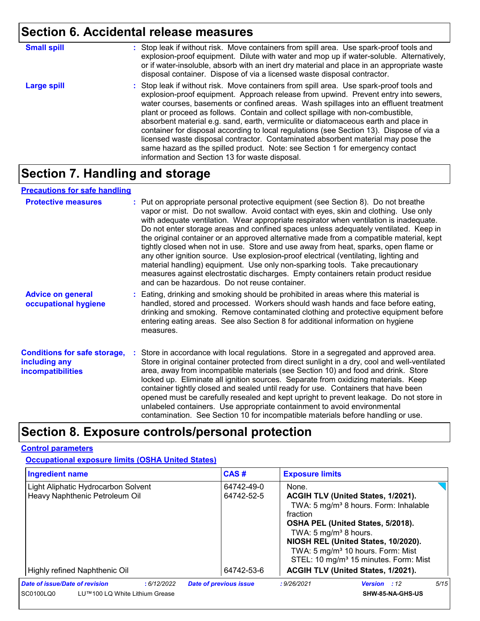### **Section 6. Accidental release measures**

| <b>Small spill</b> | : Stop leak if without risk. Move containers from spill area. Use spark-proof tools and<br>explosion-proof equipment. Dilute with water and mop up if water-soluble. Alternatively,<br>or if water-insoluble, absorb with an inert dry material and place in an appropriate waste<br>disposal container. Dispose of via a licensed waste disposal contractor.                                                                                                                                                                                                                                                                                                                                                                                                        |
|--------------------|----------------------------------------------------------------------------------------------------------------------------------------------------------------------------------------------------------------------------------------------------------------------------------------------------------------------------------------------------------------------------------------------------------------------------------------------------------------------------------------------------------------------------------------------------------------------------------------------------------------------------------------------------------------------------------------------------------------------------------------------------------------------|
| <b>Large spill</b> | : Stop leak if without risk. Move containers from spill area. Use spark-proof tools and<br>explosion-proof equipment. Approach release from upwind. Prevent entry into sewers,<br>water courses, basements or confined areas. Wash spillages into an effluent treatment<br>plant or proceed as follows. Contain and collect spillage with non-combustible,<br>absorbent material e.g. sand, earth, vermiculite or diatomaceous earth and place in<br>container for disposal according to local regulations (see Section 13). Dispose of via a<br>licensed waste disposal contractor. Contaminated absorbent material may pose the<br>same hazard as the spilled product. Note: see Section 1 for emergency contact<br>information and Section 13 for waste disposal. |

### **Section 7. Handling and storage**

#### **Precautions for safe handling**

| <b>Protective measures</b>                                                       | : Put on appropriate personal protective equipment (see Section 8). Do not breathe<br>vapor or mist. Do not swallow. Avoid contact with eyes, skin and clothing. Use only<br>with adequate ventilation. Wear appropriate respirator when ventilation is inadequate.<br>Do not enter storage areas and confined spaces unless adequately ventilated. Keep in<br>the original container or an approved alternative made from a compatible material, kept<br>tightly closed when not in use. Store and use away from heat, sparks, open flame or<br>any other ignition source. Use explosion-proof electrical (ventilating, lighting and<br>material handling) equipment. Use only non-sparking tools. Take precautionary<br>measures against electrostatic discharges. Empty containers retain product residue<br>and can be hazardous. Do not reuse container. |
|----------------------------------------------------------------------------------|---------------------------------------------------------------------------------------------------------------------------------------------------------------------------------------------------------------------------------------------------------------------------------------------------------------------------------------------------------------------------------------------------------------------------------------------------------------------------------------------------------------------------------------------------------------------------------------------------------------------------------------------------------------------------------------------------------------------------------------------------------------------------------------------------------------------------------------------------------------|
| <b>Advice on general</b><br>occupational hygiene                                 | : Eating, drinking and smoking should be prohibited in areas where this material is<br>handled, stored and processed. Workers should wash hands and face before eating,<br>drinking and smoking. Remove contaminated clothing and protective equipment before<br>entering eating areas. See also Section 8 for additional information on hygiene<br>measures.                                                                                                                                                                                                                                                                                                                                                                                                                                                                                                 |
| <b>Conditions for safe storage,</b><br>including any<br><b>incompatibilities</b> | : Store in accordance with local regulations. Store in a segregated and approved area.<br>Store in original container protected from direct sunlight in a dry, cool and well-ventilated<br>area, away from incompatible materials (see Section 10) and food and drink. Store<br>locked up. Eliminate all ignition sources. Separate from oxidizing materials. Keep<br>container tightly closed and sealed until ready for use. Containers that have been<br>opened must be carefully resealed and kept upright to prevent leakage. Do not store in<br>unlabeled containers. Use appropriate containment to avoid environmental<br>contamination. See Section 10 for incompatible materials before handling or use.                                                                                                                                            |

### **Section 8. Exposure controls/personal protection**

#### **Control parameters**

**Occupational exposure limits (OSHA United States)**

| <b>Ingredient name</b>                                                |  |            | CAS#                          |                          | <b>Exposure limits</b>                      |                                                                                                                                           |      |
|-----------------------------------------------------------------------|--|------------|-------------------------------|--------------------------|---------------------------------------------|-------------------------------------------------------------------------------------------------------------------------------------------|------|
| Light Aliphatic Hydrocarbon Solvent<br>Heavy Naphthenic Petroleum Oil |  |            |                               | 64742-49-0<br>64742-52-5 | None.<br>ACGIH TLV (United States, 1/2021). |                                                                                                                                           |      |
|                                                                       |  |            |                               |                          |                                             | TWA: 5 mg/m <sup>3</sup> 8 hours. Form: Inhalable                                                                                         |      |
|                                                                       |  |            |                               |                          | fraction                                    | OSHA PEL (United States, 5/2018).                                                                                                         |      |
|                                                                       |  |            |                               |                          | TWA: 5 mg/m <sup>3</sup> 8 hours.           |                                                                                                                                           |      |
|                                                                       |  |            |                               |                          |                                             | NIOSH REL (United States, 10/2020).<br>TWA: 5 mg/m <sup>3</sup> 10 hours. Form: Mist<br>STEL: 10 mg/m <sup>3</sup> 15 minutes. Form: Mist |      |
| Highly refined Naphthenic Oil                                         |  |            |                               | 64742-53-6               |                                             | ACGIH TLV (United States, 1/2021).                                                                                                        |      |
| <b>Date of issue/Date of revision</b>                                 |  | :6/12/2022 | <b>Date of previous issue</b> |                          | : 9/26/2021                                 | <b>Version</b> : 12                                                                                                                       | 5/15 |
| SC0100LQ0<br>LU™100 LQ White Lithium Grease                           |  |            |                               |                          | <b>SHW-85-NA-GHS-US</b>                     |                                                                                                                                           |      |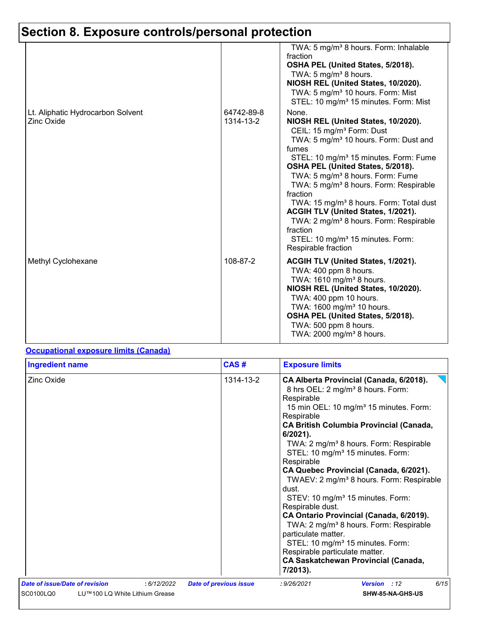# **Section 8. Exposure controls/personal protection**

|                                                        |                         | TWA: 5 mg/m <sup>3</sup> 8 hours. Form: Inhalable<br>fraction<br>OSHA PEL (United States, 5/2018).<br>TWA: 5 mg/m <sup>3</sup> 8 hours.<br>NIOSH REL (United States, 10/2020).<br>TWA: 5 mg/m <sup>3</sup> 10 hours. Form: Mist<br>STEL: 10 mg/m <sup>3</sup> 15 minutes. Form: Mist                                                                                                                                                                                                                                                                                                                  |
|--------------------------------------------------------|-------------------------|-------------------------------------------------------------------------------------------------------------------------------------------------------------------------------------------------------------------------------------------------------------------------------------------------------------------------------------------------------------------------------------------------------------------------------------------------------------------------------------------------------------------------------------------------------------------------------------------------------|
| Lt. Aliphatic Hydrocarbon Solvent<br><b>Zinc Oxide</b> | 64742-89-8<br>1314-13-2 | None.<br>NIOSH REL (United States, 10/2020).<br>CEIL: 15 mg/m <sup>3</sup> Form: Dust<br>TWA: 5 mg/m <sup>3</sup> 10 hours. Form: Dust and<br>fumes<br>STEL: 10 mg/m <sup>3</sup> 15 minutes. Form: Fume<br>OSHA PEL (United States, 5/2018).<br>TWA: 5 mg/m <sup>3</sup> 8 hours. Form: Fume<br>TWA: 5 mg/m <sup>3</sup> 8 hours. Form: Respirable<br>fraction<br>TWA: 15 mg/m <sup>3</sup> 8 hours. Form: Total dust<br>ACGIH TLV (United States, 1/2021).<br>TWA: 2 mg/m <sup>3</sup> 8 hours. Form: Respirable<br>fraction<br>STEL: 10 mg/m <sup>3</sup> 15 minutes. Form:<br>Respirable fraction |
| Methyl Cyclohexane                                     | 108-87-2                | <b>ACGIH TLV (United States, 1/2021).</b><br>TWA: 400 ppm 8 hours.<br>TWA: 1610 mg/m <sup>3</sup> 8 hours.<br>NIOSH REL (United States, 10/2020).<br>TWA: 400 ppm 10 hours.<br>TWA: 1600 mg/m <sup>3</sup> 10 hours.<br>OSHA PEL (United States, 5/2018).<br>TWA: 500 ppm 8 hours.<br>TWA: 2000 mg/m <sup>3</sup> 8 hours.                                                                                                                                                                                                                                                                            |

#### **Occupational exposure limits (Canada)**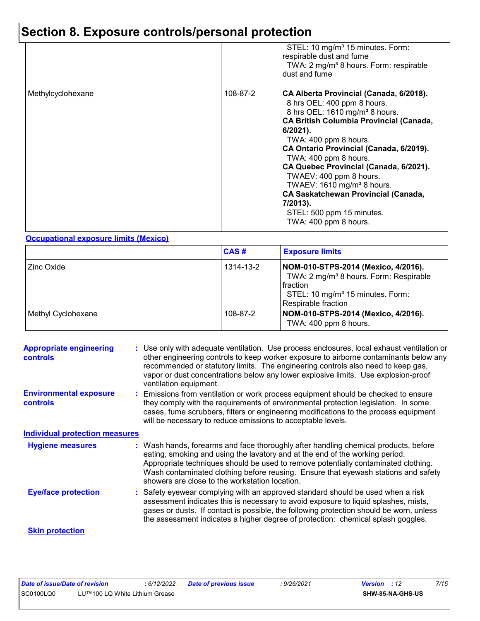# **Section 8. Exposure controls/personal protection**

|                   |          | STEL: 10 mg/m <sup>3</sup> 15 minutes. Form:<br>respirable dust and fume<br>TWA: 2 mg/m <sup>3</sup> 8 hours. Form: respirable<br>dust and fume                                                                                                                                                                                                                                                                                                                                                                   |
|-------------------|----------|-------------------------------------------------------------------------------------------------------------------------------------------------------------------------------------------------------------------------------------------------------------------------------------------------------------------------------------------------------------------------------------------------------------------------------------------------------------------------------------------------------------------|
| Methylcyclohexane | 108-87-2 | CA Alberta Provincial (Canada, 6/2018).<br>8 hrs OEL: 400 ppm 8 hours.<br>8 hrs OEL: 1610 mg/m <sup>3</sup> 8 hours.<br><b>CA British Columbia Provincial (Canada,</b><br>$6/2021$ ).<br>TWA: 400 ppm 8 hours.<br>CA Ontario Provincial (Canada, 6/2019).<br>TWA: 400 ppm 8 hours.<br>CA Quebec Provincial (Canada, 6/2021).<br>TWAEV: 400 ppm 8 hours.<br>TWAEV: 1610 mg/m <sup>3</sup> 8 hours.<br><b>CA Saskatchewan Provincial (Canada,</b><br>7/2013).<br>STEL: 500 ppm 15 minutes.<br>TWA: 400 ppm 8 hours. |

#### **Occupational exposure limits (Mexico)**

|                    | CAS#      | <b>Exposure limits</b>                                                                                                                                                              |
|--------------------|-----------|-------------------------------------------------------------------------------------------------------------------------------------------------------------------------------------|
| Zinc Oxide         | 1314-13-2 | NOM-010-STPS-2014 (Mexico, 4/2016).<br>TWA: 2 mg/m <sup>3</sup> 8 hours. Form: Respirable<br><b>fraction</b><br>STEL: 10 mg/m <sup>3</sup> 15 minutes. Form:<br>Respirable fraction |
| Methyl Cyclohexane | 108-87-2  | NOM-010-STPS-2014 (Mexico, 4/2016).<br>TWA: 400 ppm 8 hours.                                                                                                                        |

| <b>Appropriate engineering</b><br><b>controls</b> | : Use only with adequate ventilation. Use process enclosures, local exhaust ventilation or<br>other engineering controls to keep worker exposure to airborne contaminants below any<br>recommended or statutory limits. The engineering controls also need to keep gas,<br>vapor or dust concentrations below any lower explosive limits. Use explosion-proof<br>ventilation equipment.           |
|---------------------------------------------------|---------------------------------------------------------------------------------------------------------------------------------------------------------------------------------------------------------------------------------------------------------------------------------------------------------------------------------------------------------------------------------------------------|
| <b>Environmental exposure</b><br><b>controls</b>  | Emissions from ventilation or work process equipment should be checked to ensure<br>they comply with the requirements of environmental protection legislation. In some<br>cases, fume scrubbers, filters or engineering modifications to the process equipment<br>will be necessary to reduce emissions to acceptable levels.                                                                     |
| <b>Individual protection measures</b>             |                                                                                                                                                                                                                                                                                                                                                                                                   |
| <b>Hygiene measures</b>                           | : Wash hands, forearms and face thoroughly after handling chemical products, before<br>eating, smoking and using the lavatory and at the end of the working period.<br>Appropriate techniques should be used to remove potentially contaminated clothing.<br>Wash contaminated clothing before reusing. Ensure that eyewash stations and safety<br>showers are close to the workstation location. |
| <b>Eye/face protection</b>                        | : Safety eyewear complying with an approved standard should be used when a risk<br>assessment indicates this is necessary to avoid exposure to liquid splashes, mists,<br>gases or dusts. If contact is possible, the following protection should be worn, unless<br>the assessment indicates a higher degree of protection: chemical splash goggles.                                             |
| <b>Skin protection</b>                            |                                                                                                                                                                                                                                                                                                                                                                                                   |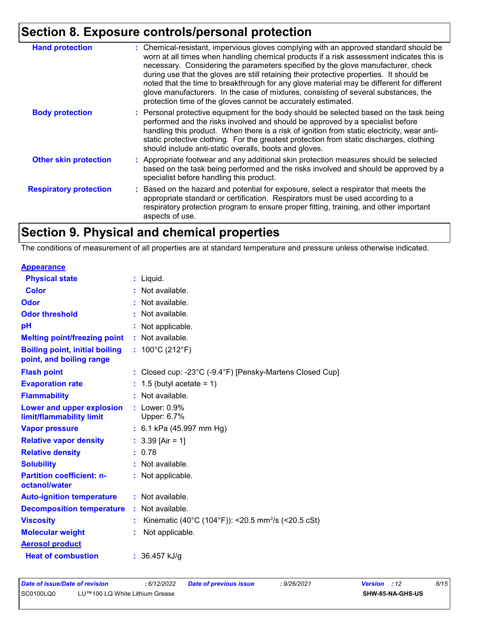### **Section 8. Exposure controls/personal protection**

| <b>Hand protection</b>        | : Chemical-resistant, impervious gloves complying with an approved standard should be<br>worn at all times when handling chemical products if a risk assessment indicates this is<br>necessary. Considering the parameters specified by the glove manufacturer, check<br>during use that the gloves are still retaining their protective properties. It should be<br>noted that the time to breakthrough for any glove material may be different for different<br>glove manufacturers. In the case of mixtures, consisting of several substances, the<br>protection time of the gloves cannot be accurately estimated. |
|-------------------------------|------------------------------------------------------------------------------------------------------------------------------------------------------------------------------------------------------------------------------------------------------------------------------------------------------------------------------------------------------------------------------------------------------------------------------------------------------------------------------------------------------------------------------------------------------------------------------------------------------------------------|
| <b>Body protection</b>        | : Personal protective equipment for the body should be selected based on the task being<br>performed and the risks involved and should be approved by a specialist before<br>handling this product. When there is a risk of ignition from static electricity, wear anti-<br>static protective clothing. For the greatest protection from static discharges, clothing<br>should include anti-static overalls, boots and gloves.                                                                                                                                                                                         |
| <b>Other skin protection</b>  | : Appropriate footwear and any additional skin protection measures should be selected<br>based on the task being performed and the risks involved and should be approved by a<br>specialist before handling this product.                                                                                                                                                                                                                                                                                                                                                                                              |
| <b>Respiratory protection</b> | : Based on the hazard and potential for exposure, select a respirator that meets the<br>appropriate standard or certification. Respirators must be used according to a<br>respiratory protection program to ensure proper fitting, training, and other important<br>aspects of use.                                                                                                                                                                                                                                                                                                                                    |

# **Section 9. Physical and chemical properties**

The conditions of measurement of all properties are at standard temperature and pressure unless otherwise indicated.

| <b>Appearance</b>                                                 |                                                                |
|-------------------------------------------------------------------|----------------------------------------------------------------|
| <b>Physical state</b>                                             | Liquid.                                                        |
| <b>Color</b>                                                      | Not available.                                                 |
| Odor                                                              | Not available.                                                 |
| <b>Odor threshold</b>                                             | Not available.                                                 |
| рH                                                                | Not applicable.                                                |
| <b>Melting point/freezing point</b>                               | : Not available.                                               |
| <b>Boiling point, initial boiling</b><br>point, and boiling range | : $100^{\circ}$ C (212 $^{\circ}$ F)                           |
| <b>Flash point</b>                                                | : Closed cup: -23°C (-9.4°F) [Pensky-Martens Closed Cup]       |
| <b>Evaporation rate</b>                                           | 1.5 (butyl acetate = $1$ )                                     |
| <b>Flammability</b>                                               | Not available.                                                 |
| Lower and upper explosion<br>limit/flammability limit             | $:$ Lower: $0.9\%$<br>Upper: 6.7%                              |
| <b>Vapor pressure</b>                                             | : 6.1 kPa $(45.997 \text{ mm Hg})$                             |
| <b>Relative vapor density</b>                                     | : $3.39$ [Air = 1]                                             |
| <b>Relative density</b>                                           | 0.78                                                           |
| <b>Solubility</b>                                                 | Not available.                                                 |
| <b>Partition coefficient: n-</b><br>octanol/water                 | : Not applicable.                                              |
| <b>Auto-ignition temperature</b>                                  | : Not available.                                               |
| <b>Decomposition temperature</b>                                  | : Not available.                                               |
| <b>Viscosity</b>                                                  | Kinematic (40°C (104°F)): <20.5 mm <sup>2</sup> /s (<20.5 cSt) |
| <b>Molecular weight</b>                                           | Not applicable.                                                |
| <b>Aerosol product</b>                                            |                                                                |
| <b>Heat of combustion</b>                                         | : $36.457$ kJ/g                                                |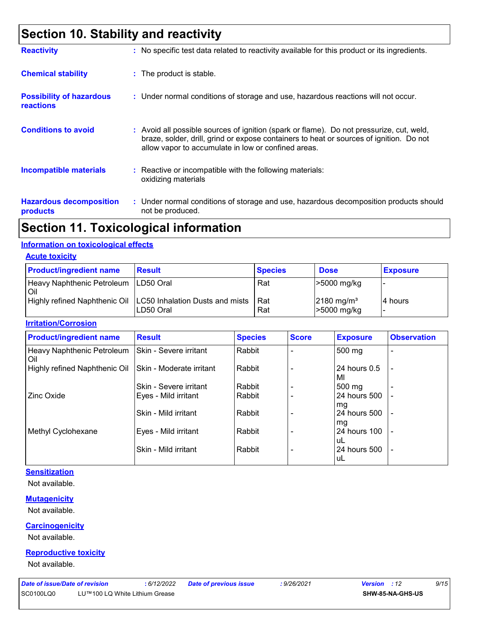### **Section 10. Stability and reactivity**

| <b>Reactivity</b>                                   | : No specific test data related to reactivity available for this product or its ingredients.                                                                                                                                               |
|-----------------------------------------------------|--------------------------------------------------------------------------------------------------------------------------------------------------------------------------------------------------------------------------------------------|
| <b>Chemical stability</b>                           | : The product is stable.                                                                                                                                                                                                                   |
| <b>Possibility of hazardous</b><br><b>reactions</b> | : Under normal conditions of storage and use, hazardous reactions will not occur.                                                                                                                                                          |
| <b>Conditions to avoid</b>                          | : Avoid all possible sources of ignition (spark or flame). Do not pressurize, cut, weld,<br>braze, solder, drill, grind or expose containers to heat or sources of ignition. Do not<br>allow vapor to accumulate in low or confined areas. |
| <b>Incompatible materials</b>                       | $\therefore$ Reactive or incompatible with the following materials:<br>oxidizing materials                                                                                                                                                 |
| <b>Hazardous decomposition</b><br>products          | : Under normal conditions of storage and use, hazardous decomposition products should<br>not be produced.                                                                                                                                  |

### **Section 11. Toxicological information**

#### **Information on toxicological effects**

**Acute toxicity**

| <b>Product/ingredient name</b>                | <b>Result</b>                                                                | <b>Species</b> | <b>Dose</b>                             | <b>Exposure</b> |
|-----------------------------------------------|------------------------------------------------------------------------------|----------------|-----------------------------------------|-----------------|
| Heavy Naphthenic Petroleum   LD50 Oral<br>Oil |                                                                              | Rat            | $>5000$ mg/kg                           |                 |
|                                               | Highly refined Naphthenic Oil   LC50 Inhalation Dusts and mists<br>LD50 Oral | Rat<br>Rat     | $2180$ mg/m <sup>3</sup><br>>5000 mg/kg | 14 hours        |

#### **Irritation/Corrosion**

| <b>Product/ingredient name</b>    | <b>Result</b>            | <b>Species</b> | <b>Score</b> | <b>Exposure</b>    | <b>Observation</b>       |
|-----------------------------------|--------------------------|----------------|--------------|--------------------|--------------------------|
| Heavy Naphthenic Petroleum<br>Oil | Skin - Severe irritant   | Rabbit         |              | 500 mg             |                          |
| Highly refined Naphthenic Oil     | Skin - Moderate irritant | Rabbit         |              | 24 hours 0.5<br>MI | $\overline{\phantom{a}}$ |
|                                   | Skin - Severe irritant   | Rabbit         |              | 500 mg             |                          |
| <b>Zinc Oxide</b>                 | Eyes - Mild irritant     | Rabbit         |              | 24 hours 500<br>mg |                          |
|                                   | Skin - Mild irritant     | Rabbit         |              | 24 hours 500<br>mg | $\overline{\phantom{a}}$ |
| Methyl Cyclohexane                | Eyes - Mild irritant     | Rabbit         |              | 24 hours 100<br>uL |                          |
|                                   | Skin - Mild irritant     | Rabbit         |              | 24 hours 500<br>uL | $\overline{\phantom{a}}$ |

#### **Sensitization**

Not available.

#### **Mutagenicity**

Not available.

#### **Carcinogenicity**

Not available.

#### **Reproductive toxicity**

Not available.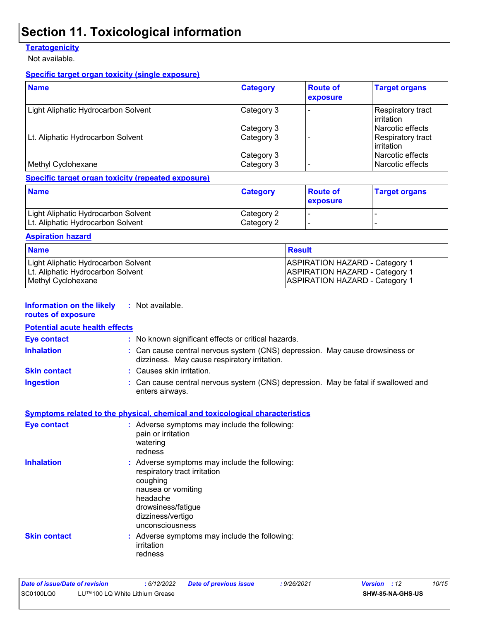### **Section 11. Toxicological information**

#### **Teratogenicity**

Not available.

#### **Specific target organ toxicity (single exposure)**

| <b>Name</b>                         | <b>Category</b> | <b>Route of</b><br>exposure | <b>Target organs</b>               |
|-------------------------------------|-----------------|-----------------------------|------------------------------------|
| Light Aliphatic Hydrocarbon Solvent | Category 3      |                             | Respiratory tract<br>l irritation. |
|                                     | Category 3      |                             | l Narcotic effects                 |
| Lt. Aliphatic Hydrocarbon Solvent   | Category 3      |                             | Respiratory tract<br>l irritation. |
|                                     | Category 3      |                             | l Narcotic effects                 |
| Methyl Cyclohexane                  | Category 3      |                             | Narcotic effects                   |

#### **Specific target organ toxicity (repeated exposure)**

| <b>Name</b>                                                              | <b>Category</b>          | <b>Route of</b><br><b>Lexposure</b> | <b>Target organs</b> |
|--------------------------------------------------------------------------|--------------------------|-------------------------------------|----------------------|
| Light Aliphatic Hydrocarbon Solvent<br>Lt. Aliphatic Hydrocarbon Solvent | Category 2<br>Category 2 |                                     |                      |

#### **Aspiration hazard**

| <b>Name</b>                         | ⊺Result                               |
|-------------------------------------|---------------------------------------|
| Light Aliphatic Hydrocarbon Solvent | <b>ASPIRATION HAZARD - Category 1</b> |
| Lt. Aliphatic Hydrocarbon Solvent   | <b>ASPIRATION HAZARD - Category 1</b> |
| Methyl Cyclohexane                  | <b>ASPIRATION HAZARD - Category 1</b> |

#### **Information on the likely :** Not available. **routes of exposure**

### **Potential acute health effects**

| <b>Eye contact</b>  | : No known significant effects or critical hazards.                                                                          |  |
|---------------------|------------------------------------------------------------------------------------------------------------------------------|--|
| <b>Inhalation</b>   | : Can cause central nervous system (CNS) depression. May cause drowsiness or<br>dizziness. May cause respiratory irritation. |  |
| <b>Skin contact</b> | : Causes skin irritation.                                                                                                    |  |
| <b>Ingestion</b>    | : Can cause central nervous system (CNS) depression. May be fatal if swallowed and<br>enters airways.                        |  |
|                     |                                                                                                                              |  |

#### **Symptoms related to the physical, chemical and toxicological characteristics**

| <b>Eye contact</b>  | : Adverse symptoms may include the following:<br>pain or irritation<br>watering<br>redness                                                                                                |
|---------------------|-------------------------------------------------------------------------------------------------------------------------------------------------------------------------------------------|
| <b>Inhalation</b>   | : Adverse symptoms may include the following:<br>respiratory tract irritation<br>coughing<br>nausea or vomiting<br>headache<br>drowsiness/fatique<br>dizziness/vertigo<br>unconsciousness |
| <b>Skin contact</b> | : Adverse symptoms may include the following:<br>irritation<br>redness                                                                                                                    |

| Date of issue/Date of revision |                                | 6/12/2022 | <b>Date of previous issue</b> | : 9/26/2021 | <b>Version</b> : 12 | 10/15 |
|--------------------------------|--------------------------------|-----------|-------------------------------|-------------|---------------------|-------|
| SC0100LQ0                      | LU™100 LQ White Lithium Grease |           |                               |             | SHW-85-NA-GHS-US    |       |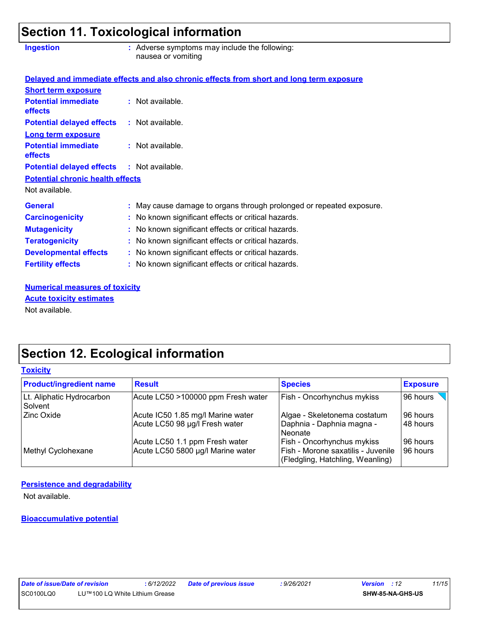### **Section 11. Toxicological information**

| <b>Ingestion</b>                                  | : Adverse symptoms may include the following:<br>nausea or vomiting                      |
|---------------------------------------------------|------------------------------------------------------------------------------------------|
|                                                   | Delayed and immediate effects and also chronic effects from short and long term exposure |
| <b>Short term exposure</b>                        |                                                                                          |
| <b>Potential immediate</b><br>effects             | : Not available.                                                                         |
| <b>Potential delayed effects</b>                  | : Not available.                                                                         |
| Long term exposure                                |                                                                                          |
| <b>Potential immediate</b><br>effects             | : Not available.                                                                         |
| <b>Potential delayed effects : Not available.</b> |                                                                                          |
| <b>Potential chronic health effects</b>           |                                                                                          |
| Not available.                                    |                                                                                          |
| <b>General</b>                                    | : May cause damage to organs through prolonged or repeated exposure.                     |
| <b>Carcinogenicity</b>                            | : No known significant effects or critical hazards.                                      |
| <b>Mutagenicity</b>                               | : No known significant effects or critical hazards.                                      |
| <b>Teratogenicity</b>                             | : No known significant effects or critical hazards.                                      |
| <b>Developmental effects</b>                      | : No known significant effects or critical hazards.                                      |
| <b>Fertility effects</b>                          | : No known significant effects or critical hazards.                                      |

**Numerical measures of toxicity** Not available. **Acute toxicity estimates**

# **Section 12. Ecological information**

#### **Toxicity**

| <b>Product/ingredient name</b>       | <b>Result</b>                                                       | <b>Species</b>                                                                                       | <b>Exposure</b>        |
|--------------------------------------|---------------------------------------------------------------------|------------------------------------------------------------------------------------------------------|------------------------|
| Lt. Aliphatic Hydrocarbon<br>Solvent | Acute LC50 >100000 ppm Fresh water                                  | Fish - Oncorhynchus mykiss                                                                           | 96 hours               |
| Zinc Oxide                           | Acute IC50 1.85 mg/l Marine water<br>Acute LC50 98 µg/l Fresh water | Algae - Skeletonema costatum<br>Daphnia - Daphnia magna -<br>l Neonate                               | 196 hours<br>48 hours  |
| Methyl Cyclohexane                   | Acute LC50 1.1 ppm Fresh water<br>Acute LC50 5800 µg/l Marine water | Fish - Oncorhynchus mykiss<br>Fish - Morone saxatilis - Juvenile<br>(Fledgling, Hatchling, Weanling) | l 96 hours<br>96 hours |

#### **Persistence and degradability**

Not available.

#### **Bioaccumulative potential**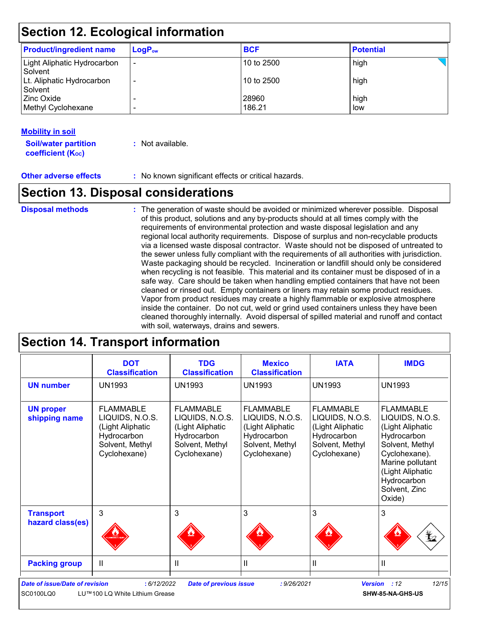### **Section 12. Ecological information**

| <b>Product/ingredient name</b>         | $LogP_{ow}$              | <b>BCF</b>      | <b>Potential</b> |
|----------------------------------------|--------------------------|-----------------|------------------|
| Light Aliphatic Hydrocarbon<br>Solvent | $\overline{\phantom{0}}$ | 10 to 2500      | high             |
| Lt. Aliphatic Hydrocarbon<br>Solvent   |                          | 10 to 2500      | high             |
| Zinc Oxide<br>Methyl Cyclohexane       |                          | 28960<br>186.21 | high<br>low      |

#### **Mobility in soil**

**Soil/water partition coefficient (KOC)**

**:** Not available.

**Other adverse effects** : No known significant effects or critical hazards.

### **Section 13. Disposal considerations**

### **Disposal methods :**

The generation of waste should be avoided or minimized wherever possible. Disposal of this product, solutions and any by-products should at all times comply with the requirements of environmental protection and waste disposal legislation and any regional local authority requirements. Dispose of surplus and non-recyclable products via a licensed waste disposal contractor. Waste should not be disposed of untreated to the sewer unless fully compliant with the requirements of all authorities with jurisdiction. Waste packaging should be recycled. Incineration or landfill should only be considered when recycling is not feasible. This material and its container must be disposed of in a safe way. Care should be taken when handling emptied containers that have not been cleaned or rinsed out. Empty containers or liners may retain some product residues. Vapor from product residues may create a highly flammable or explosive atmosphere inside the container. Do not cut, weld or grind used containers unless they have been cleaned thoroughly internally. Avoid dispersal of spilled material and runoff and contact with soil, waterways, drains and sewers.

### **Section 14. Transport information**

|                                      | <b>DOT</b><br><b>Classification</b>                                                                       | <b>TDG</b><br><b>Classification</b>                                                                       | <b>Mexico</b><br><b>Classification</b>                                                                    | <b>IATA</b>                                                                                               | <b>IMDG</b>                                                                                                                                                                                  |
|--------------------------------------|-----------------------------------------------------------------------------------------------------------|-----------------------------------------------------------------------------------------------------------|-----------------------------------------------------------------------------------------------------------|-----------------------------------------------------------------------------------------------------------|----------------------------------------------------------------------------------------------------------------------------------------------------------------------------------------------|
| <b>UN number</b>                     | UN1993                                                                                                    | UN1993                                                                                                    | UN1993                                                                                                    | <b>UN1993</b>                                                                                             | <b>UN1993</b>                                                                                                                                                                                |
| <b>UN proper</b><br>shipping name    | <b>FLAMMABLE</b><br>LIQUIDS, N.O.S.<br>(Light Aliphatic<br>Hydrocarbon<br>Solvent, Methyl<br>Cyclohexane) | <b>FLAMMABLE</b><br>LIQUIDS, N.O.S.<br>(Light Aliphatic<br>Hydrocarbon<br>Solvent, Methyl<br>Cyclohexane) | <b>FLAMMABLE</b><br>LIQUIDS, N.O.S.<br>(Light Aliphatic<br>Hydrocarbon<br>Solvent, Methyl<br>Cyclohexane) | <b>FLAMMABLE</b><br>LIQUIDS, N.O.S.<br>(Light Aliphatic<br>Hydrocarbon<br>Solvent, Methyl<br>Cyclohexane) | <b>FLAMMABLE</b><br>LIQUIDS, N.O.S.<br>(Light Aliphatic<br>Hydrocarbon<br>Solvent, Methyl<br>Cyclohexane).<br>Marine pollutant<br>(Light Aliphatic<br>Hydrocarbon<br>Solvent, Zinc<br>Oxide) |
| <b>Transport</b><br>hazard class(es) | $\mathbf{3}$                                                                                              | 3                                                                                                         | 3                                                                                                         | 3                                                                                                         | 3<br>⊻2                                                                                                                                                                                      |
| <b>Packing group</b>                 | $\mathbf{H}$                                                                                              | Ш                                                                                                         | Ш                                                                                                         | $\mathbf{I}$                                                                                              | Ш                                                                                                                                                                                            |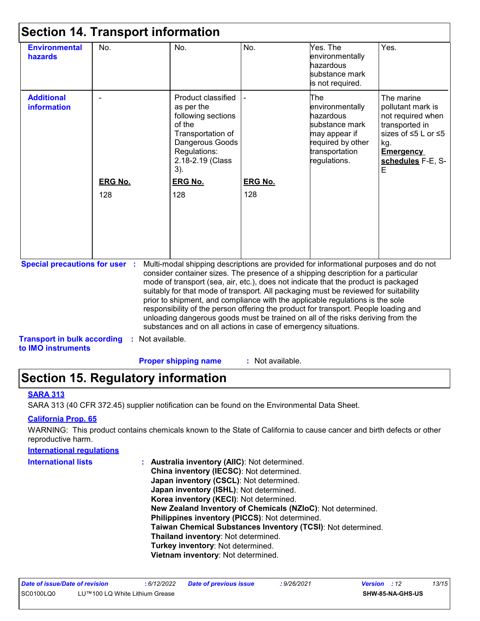| <b>Environmental</b><br>hazards                                                                   | No.                   | No.                                                                                                                                                                                                                                                                                                                                                                                                                                                                                                                                                                                                                                                                                                     | No.                   | Yes. The<br>environmentally<br>hazardous<br>substance mark<br>is not required.                                                | Yes.                                                                                                                                               |
|---------------------------------------------------------------------------------------------------|-----------------------|---------------------------------------------------------------------------------------------------------------------------------------------------------------------------------------------------------------------------------------------------------------------------------------------------------------------------------------------------------------------------------------------------------------------------------------------------------------------------------------------------------------------------------------------------------------------------------------------------------------------------------------------------------------------------------------------------------|-----------------------|-------------------------------------------------------------------------------------------------------------------------------|----------------------------------------------------------------------------------------------------------------------------------------------------|
| <b>Additional</b><br><b>information</b>                                                           | <b>ERG No.</b><br>128 | Product classified<br>as per the<br>following sections<br>of the<br>Transportation of<br>Dangerous Goods<br>Regulations:<br>2.18-2.19 (Class<br>$3)$ .<br><b>ERG No.</b><br>128                                                                                                                                                                                                                                                                                                                                                                                                                                                                                                                         | <b>ERG No.</b><br>128 | The<br>environmentally<br>hazardous<br>substance mark<br>may appear if<br>required by other<br>transportation<br>regulations. | The marine<br>pollutant mark is<br>not required when<br>transported in<br>sizes of ≤5 L or ≤5<br>kg.<br><b>Emergency</b><br>schedules F-E, S-<br>E |
| <b>Special precautions for user :</b><br><b>Transport in bulk according</b><br>to IMO instruments |                       | Multi-modal shipping descriptions are provided for informational purposes and do not<br>consider container sizes. The presence of a shipping description for a particular<br>mode of transport (sea, air, etc.), does not indicate that the product is packaged<br>suitably for that mode of transport. All packaging must be reviewed for suitability<br>prior to shipment, and compliance with the applicable regulations is the sole<br>responsibility of the person offering the product for transport. People loading and<br>unloading dangerous goods must be trained on all of the risks deriving from the<br>substances and on all actions in case of emergency situations.<br>: Not available. |                       |                                                                                                                               |                                                                                                                                                    |

### **Section 15. Regulatory information**

#### **SARA 313**

SARA 313 (40 CFR 372.45) supplier notification can be found on the Environmental Data Sheet.

#### **California Prop. 65**

WARNING: This product contains chemicals known to the State of California to cause cancer and birth defects or other reproductive harm.

#### **International regulations**

**International lists :**

**Australia inventory (AIIC)**: Not determined. **China inventory (IECSC)**: Not determined. **Japan inventory (CSCL)**: Not determined. **Japan inventory (ISHL)**: Not determined. **Korea inventory (KECI)**: Not determined. **New Zealand Inventory of Chemicals (NZIoC)**: Not determined. **Philippines inventory (PICCS)**: Not determined. **Taiwan Chemical Substances Inventory (TCSI)**: Not determined. **Thailand inventory**: Not determined. **Turkey inventory**: Not determined. **Vietnam inventory**: Not determined.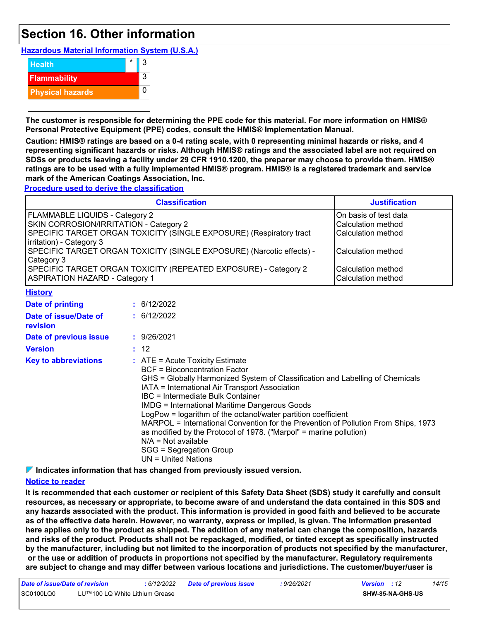### **Section 16. Other information**

**Hazardous Material Information System (U.S.A.)**



**The customer is responsible for determining the PPE code for this material. For more information on HMIS® Personal Protective Equipment (PPE) codes, consult the HMIS® Implementation Manual.**

**Caution: HMIS® ratings are based on a 0-4 rating scale, with 0 representing minimal hazards or risks, and 4 representing significant hazards or risks. Although HMIS® ratings and the associated label are not required on SDSs or products leaving a facility under 29 CFR 1910.1200, the preparer may choose to provide them. HMIS® ratings are to be used with a fully implemented HMIS® program. HMIS® is a registered trademark and service mark of the American Coatings Association, Inc.**

**Procedure used to derive the classification**

|                                                                                                                                                                                                                                                                                                                                                                                | <b>Justification</b>                                                                                                                                                                                                                                                                             |                                                                                                                                                                    |
|--------------------------------------------------------------------------------------------------------------------------------------------------------------------------------------------------------------------------------------------------------------------------------------------------------------------------------------------------------------------------------|--------------------------------------------------------------------------------------------------------------------------------------------------------------------------------------------------------------------------------------------------------------------------------------------------|--------------------------------------------------------------------------------------------------------------------------------------------------------------------|
| FLAMMABLE LIQUIDS - Category 2<br>SKIN CORROSION/IRRITATION - Category 2<br>SPECIFIC TARGET ORGAN TOXICITY (SINGLE EXPOSURE) (Respiratory tract<br>irritation) - Category 3<br>SPECIFIC TARGET ORGAN TOXICITY (SINGLE EXPOSURE) (Narcotic effects) -<br>Category 3<br>SPECIFIC TARGET ORGAN TOXICITY (REPEATED EXPOSURE) - Category 2<br><b>ASPIRATION HAZARD - Category 1</b> | On basis of test data<br>Calculation method<br>Calculation method<br>Calculation method<br>Calculation method<br>Calculation method                                                                                                                                                              |                                                                                                                                                                    |
| <b>History</b>                                                                                                                                                                                                                                                                                                                                                                 |                                                                                                                                                                                                                                                                                                  |                                                                                                                                                                    |
| <b>Date of printing</b>                                                                                                                                                                                                                                                                                                                                                        | : 6/12/2022                                                                                                                                                                                                                                                                                      |                                                                                                                                                                    |
| Date of issue/Date of<br>revision                                                                                                                                                                                                                                                                                                                                              | : 6/12/2022                                                                                                                                                                                                                                                                                      |                                                                                                                                                                    |
| Date of previous issue                                                                                                                                                                                                                                                                                                                                                         | : 9/26/2021                                                                                                                                                                                                                                                                                      |                                                                                                                                                                    |
| <b>Version</b>                                                                                                                                                                                                                                                                                                                                                                 | : 12                                                                                                                                                                                                                                                                                             |                                                                                                                                                                    |
| <b>Key to abbreviations</b>                                                                                                                                                                                                                                                                                                                                                    | $:$ ATE = Acute Toxicity Estimate<br><b>BCF</b> = Bioconcentration Factor<br>IATA = International Air Transport Association<br><b>IBC</b> = Intermediate Bulk Container<br><b>IMDG = International Maritime Dangerous Goods</b><br>LogPow = logarithm of the octanol/water partition coefficient | GHS = Globally Harmonized System of Classification and Labelling of Chemicals<br>$MADDOL = International Convention for the Brownian of Dallution From China 4072$ |

MARPOL = International Convention for the Prevention of Pollution From Ships, 1973 as modified by the Protocol of 1978. ("Marpol" = marine pollution) N/A = Not available

**Indicates information that has changed from previously issued version.**

SGG = Segregation Group UN = United Nations

#### **Notice to reader**

**It is recommended that each customer or recipient of this Safety Data Sheet (SDS) study it carefully and consult resources, as necessary or appropriate, to become aware of and understand the data contained in this SDS and any hazards associated with the product. This information is provided in good faith and believed to be accurate as of the effective date herein. However, no warranty, express or implied, is given. The information presented here applies only to the product as shipped. The addition of any material can change the composition, hazards and risks of the product. Products shall not be repackaged, modified, or tinted except as specifically instructed by the manufacturer, including but not limited to the incorporation of products not specified by the manufacturer, or the use or addition of products in proportions not specified by the manufacturer. Regulatory requirements are subject to change and may differ between various locations and jurisdictions. The customer/buyer/user is**